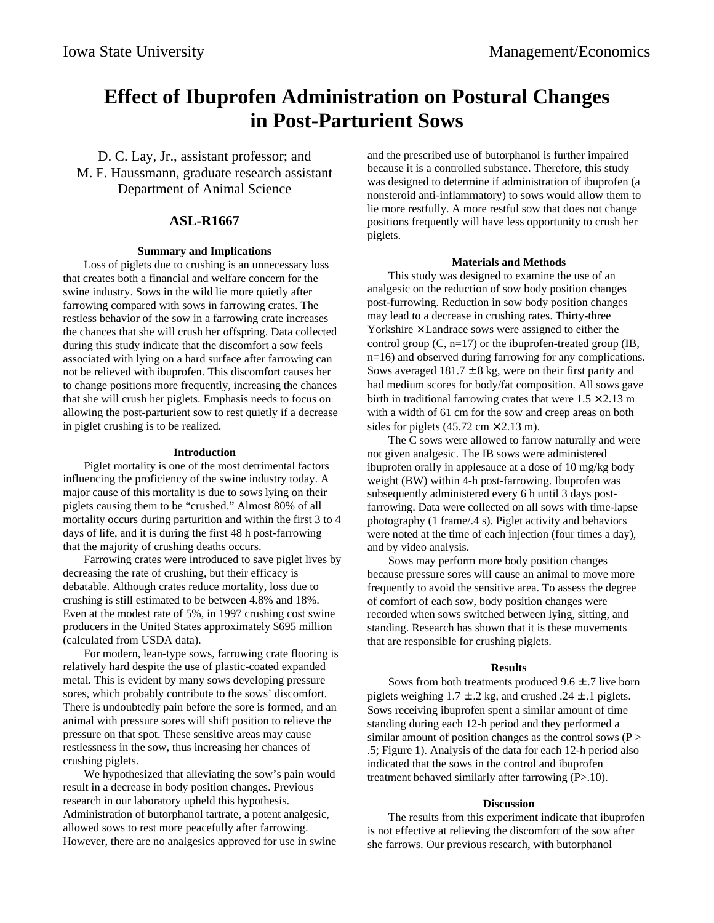# **Effect of Ibuprofen Administration on Postural Changes in Post-Parturient Sows**

D. C. Lay, Jr., assistant professor; and M. F. Haussmann, graduate research assistant Department of Animal Science

## **ASL-R1667**

#### **Summary and Implications**

Loss of piglets due to crushing is an unnecessary loss that creates both a financial and welfare concern for the swine industry. Sows in the wild lie more quietly after farrowing compared with sows in farrowing crates. The restless behavior of the sow in a farrowing crate increases the chances that she will crush her offspring. Data collected during this study indicate that the discomfort a sow feels associated with lying on a hard surface after farrowing can not be relieved with ibuprofen. This discomfort causes her to change positions more frequently, increasing the chances that she will crush her piglets. Emphasis needs to focus on allowing the post-parturient sow to rest quietly if a decrease in piglet crushing is to be realized.

#### **Introduction**

Piglet mortality is one of the most detrimental factors influencing the proficiency of the swine industry today. A major cause of this mortality is due to sows lying on their piglets causing them to be "crushed." Almost 80% of all mortality occurs during parturition and within the first 3 to 4 days of life, and it is during the first 48 h post-farrowing that the majority of crushing deaths occurs.

Farrowing crates were introduced to save piglet lives by decreasing the rate of crushing, but their efficacy is debatable. Although crates reduce mortality, loss due to crushing is still estimated to be between 4.8% and 18%. Even at the modest rate of 5%, in 1997 crushing cost swine producers in the United States approximately \$695 million (calculated from USDA data).

For modern, lean-type sows, farrowing crate flooring is relatively hard despite the use of plastic-coated expanded metal. This is evident by many sows developing pressure sores, which probably contribute to the sows' discomfort. There is undoubtedly pain before the sore is formed, and an animal with pressure sores will shift position to relieve the pressure on that spot. These sensitive areas may cause restlessness in the sow, thus increasing her chances of crushing piglets.

We hypothesized that alleviating the sow's pain would result in a decrease in body position changes. Previous research in our laboratory upheld this hypothesis. Administration of butorphanol tartrate, a potent analgesic, allowed sows to rest more peacefully after farrowing. However, there are no analgesics approved for use in swine and the prescribed use of butorphanol is further impaired because it is a controlled substance. Therefore, this study was designed to determine if administration of ibuprofen (a nonsteroid anti-inflammatory) to sows would allow them to lie more restfully. A more restful sow that does not change positions frequently will have less opportunity to crush her piglets.

### **Materials and Methods**

This study was designed to examine the use of an analgesic on the reduction of sow body position changes post-furrowing. Reduction in sow body position changes may lead to a decrease in crushing rates. Thirty-three Yorkshire  $\times$  Landrace sows were assigned to either the control group  $(C, n=17)$  or the ibuprofen-treated group  $(IB,$ n=16) and observed during farrowing for any complications. Sows averaged  $181.7 \pm 8$  kg, were on their first parity and had medium scores for body/fat composition. All sows gave birth in traditional farrowing crates that were  $1.5 \times 2.13$  m with a width of 61 cm for the sow and creep areas on both sides for piglets  $(45.72 \text{ cm} \times 2.13 \text{ m})$ .

The C sows were allowed to farrow naturally and were not given analgesic. The IB sows were administered ibuprofen orally in applesauce at a dose of 10 mg/kg body weight (BW) within 4-h post-farrowing. Ibuprofen was subsequently administered every 6 h until 3 days postfarrowing. Data were collected on all sows with time-lapse photography (1 frame/.4 s). Piglet activity and behaviors were noted at the time of each injection (four times a day), and by video analysis.

Sows may perform more body position changes because pressure sores will cause an animal to move more frequently to avoid the sensitive area. To assess the degree of comfort of each sow, body position changes were recorded when sows switched between lying, sitting, and standing. Research has shown that it is these movements that are responsible for crushing piglets.

#### **Results**

Sows from both treatments produced  $9.6 \pm .7$  live born piglets weighing  $1.7 \pm .2$  kg, and crushed  $.24 \pm .1$  piglets. Sows receiving ibuprofen spent a similar amount of time standing during each 12-h period and they performed a similar amount of position changes as the control sows  $(P >$ .5; Figure 1). Analysis of the data for each 12-h period also indicated that the sows in the control and ibuprofen treatment behaved similarly after farrowing (P>.10).

### **Discussion**

The results from this experiment indicate that ibuprofen is not effective at relieving the discomfort of the sow after she farrows. Our previous research, with butorphanol